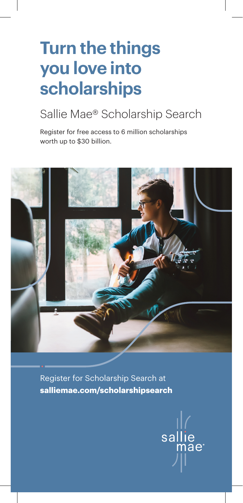# **Turn the things you love into scholarships**

## Sallie Mae® Scholarship Search

Register for free access to 6 million scholarships worth up to \$30 billion.



Register for Scholarship Search at **salliemae.com/scholarshipsearch**